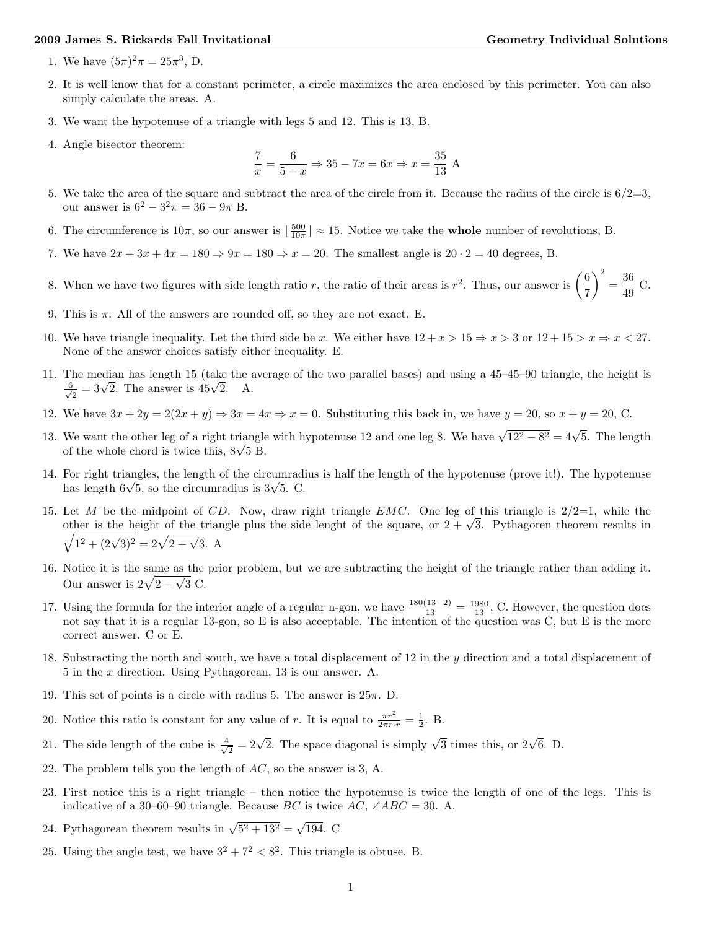## 2009 James S. Rickards Fall Invitational Geometry Individual Solutions

- 1. We have  $(5\pi)^2 \pi = 25\pi^3$ , D.
- 2. It is well know that for a constant perimeter, a circle maximizes the area enclosed by this perimeter. You can also simply calculate the areas. A.
- 3. We want the hypotenuse of a triangle with legs 5 and 12. This is 13, B.
- 4. Angle bisector theorem:

$$
\frac{7}{x} = \frac{6}{5-x} \Rightarrow 35 - 7x = 6x \Rightarrow x = \frac{35}{13} \text{ A}
$$

- 5. We take the area of the square and subtract the area of the circle from it. Because the radius of the circle is  $6/2=3$ , our answer is  $6^2 - 3^2 \pi = 36 - 9\pi$  B.
- 6. The circumference is  $10\pi$ , so our answer is  $\left(\frac{500}{10\pi}\right) \approx 15$ . Notice we take the **whole** number of revolutions, B.
- 7. We have  $2x + 3x + 4x = 180 \Rightarrow 9x = 180 \Rightarrow x = 20$ . The smallest angle is  $20 \cdot 2 = 40$  degrees, B.
- 8. When we have two figures with side length ratio r, the ratio of their areas is  $r^2$ . Thus, our answer is  $\left(\frac{6}{7}\right)$  $\bigg)^2 = \frac{36}{49} \text{ C}.$
- 9. This is  $\pi$ . All of the answers are rounded off, so they are not exact. E.
- 10. We have triangle inequality. Let the third side be x. We either have  $12 + x > 15 \Rightarrow x > 3$  or  $12 + 15 > x \Rightarrow x < 27$ . None of the answer choices satisfy either inequality. E.
- 11. The median has length 15 (take the average of the two parallel bases) and using a 45–45–90 triangle, the height is  $\frac{6}{\sqrt{2}} = 3\sqrt{2}$ . The answer is  $45\sqrt{2}$ . A.
- 12. We have  $3x + 2y = 2(2x + y) \Rightarrow 3x = 4x \Rightarrow x = 0$ . Substituting this back in, we have  $y = 20$ , so  $x + y = 20$ , C.
- 13. We want the other leg of a right triangle with hypotenuse 12 and one leg 8. We have  $\sqrt{12^2 8^2} = 4\sqrt{5}$ . The length of the whole chord is twice this,  $8\sqrt{5}$  B.
- 14. For right triangles, the length of the circumradius is half the length of the hypotenuse (prove it!). The hypotenuse has length  $6\sqrt{5}$ , so the circumradius is  $3\sqrt{5}$ . C.
- 15. Let M be the midpoint of  $\overline{CD}$ . Now, draw right triangle EMC. One leg of this triangle is  $2/2=1$ , while the other is the height of the triangle plus the side lenght of the square, or  $2 + \sqrt{3}$ . Pythagoren theorem results in  $\sqrt{1^2 + (2\sqrt{3})^2} = 2\sqrt{2 + \sqrt{3}}$ . A
- 16. Notice it is the same as the prior problem, but we are subtracting the height of the triangle rather than adding it. Our answer is  $2\sqrt{2-\sqrt{3}}$  C.
- 17. Using the formula for the interior angle of a regular n-gon, we have  $\frac{180(13-2)}{13} = \frac{1980}{13}$ , C. However, the question does not say that it is a regular 13-gon, so E is also acceptable. The intention of the question was C, but E is the more correct answer. C or E.
- 18. Substracting the north and south, we have a total displacement of 12 in the y direction and a total displacement of 5 in the x direction. Using Pythagorean, 13 is our answer. A.
- 19. This set of points is a circle with radius 5. The answer is  $25\pi$ . D.
- 20. Notice this ratio is constant for any value of r. It is equal to  $\frac{\pi r^2}{2\pi r \cdot r} = \frac{1}{2}$ . B.
- 21. The side length of the cube is  $\frac{4}{\sqrt{2}} = 2\sqrt{2}$ . The space diagonal is simply  $\sqrt{3}$  times this, or  $2\sqrt{6}$ . D.
- 22. The problem tells you the length of AC, so the answer is 3, A.
- 23. First notice this is a right triangle then notice the hypotenuse is twice the length of one of the legs. This is indicative of a 30–60–90 triangle. Because  $BC$  is twice  $AC$ ,  $\angle ABC = 30$ . A.
- 24. Pythagorean theorem results in  $\sqrt{5^2 + 13^2} = \sqrt{194}$ . C
- 25. Using the angle test, we have  $3^2 + 7^2 < 8^2$ . This triangle is obtuse. B.